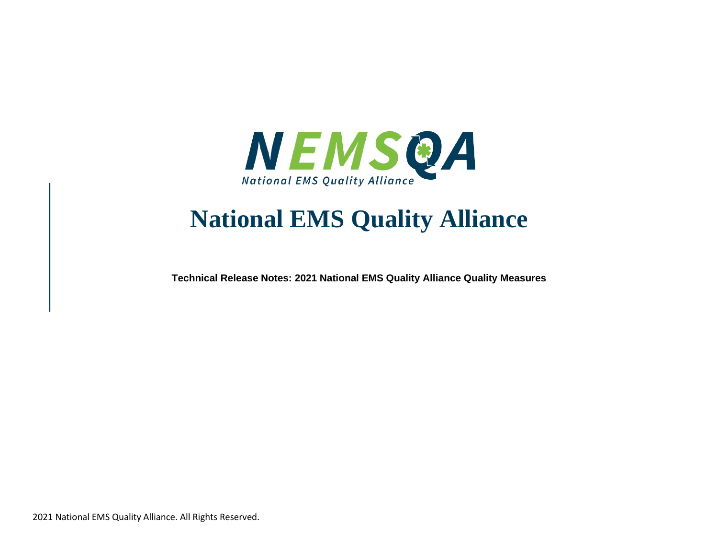

## **National EMS Quality Alliance**

**Technical Release Notes: 2021 National EMS Quality Alliance Quality Measures**

2021 National EMS Quality Alliance. All Rights Reserved.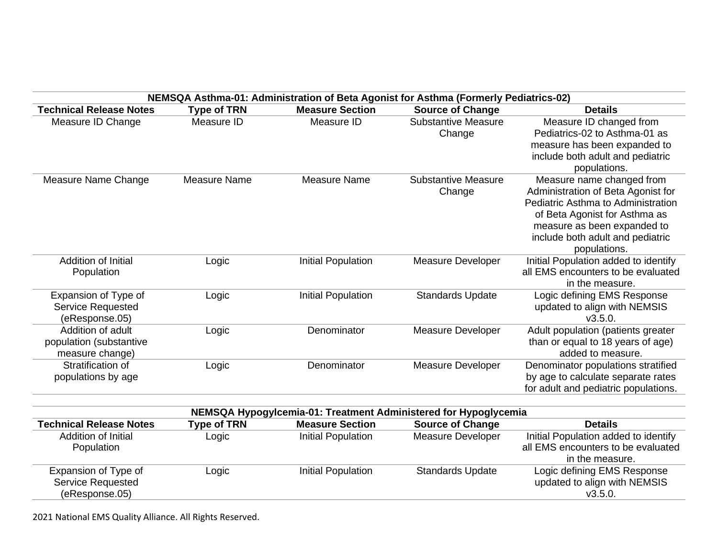|                                | NEMSQA Asthma-01: Administration of Beta Agonist for Asthma (Formerly Pediatrics-02) |                           |                            |                                      |  |
|--------------------------------|--------------------------------------------------------------------------------------|---------------------------|----------------------------|--------------------------------------|--|
| <b>Technical Release Notes</b> | <b>Type of TRN</b>                                                                   | <b>Measure Section</b>    | <b>Source of Change</b>    | <b>Details</b>                       |  |
| Measure ID Change              | Measure ID                                                                           | Measure ID                | <b>Substantive Measure</b> | Measure ID changed from              |  |
|                                |                                                                                      |                           | Change                     | Pediatrics-02 to Asthma-01 as        |  |
|                                |                                                                                      |                           |                            | measure has been expanded to         |  |
|                                |                                                                                      |                           |                            | include both adult and pediatric     |  |
|                                |                                                                                      |                           |                            | populations.                         |  |
| Measure Name Change            | <b>Measure Name</b>                                                                  | Measure Name              | <b>Substantive Measure</b> | Measure name changed from            |  |
|                                |                                                                                      |                           | Change                     | Administration of Beta Agonist for   |  |
|                                |                                                                                      |                           |                            | Pediatric Asthma to Administration   |  |
|                                |                                                                                      |                           |                            | of Beta Agonist for Asthma as        |  |
|                                |                                                                                      |                           |                            | measure as been expanded to          |  |
|                                |                                                                                      |                           |                            | include both adult and pediatric     |  |
|                                |                                                                                      |                           |                            | populations.                         |  |
| Addition of Initial            | Logic                                                                                | Initial Population        | <b>Measure Developer</b>   | Initial Population added to identify |  |
| Population                     |                                                                                      |                           |                            | all EMS encounters to be evaluated   |  |
|                                |                                                                                      |                           |                            | in the measure.                      |  |
| Expansion of Type of           | Logic                                                                                | <b>Initial Population</b> | <b>Standards Update</b>    | Logic defining EMS Response          |  |
| <b>Service Requested</b>       |                                                                                      |                           |                            | updated to align with NEMSIS         |  |
| (eResponse.05)                 |                                                                                      |                           |                            | V3.5.0.                              |  |
| Addition of adult              | Logic                                                                                | Denominator               | Measure Developer          | Adult population (patients greater   |  |
| population (substantive        |                                                                                      |                           |                            | than or equal to 18 years of age)    |  |
| measure change)                |                                                                                      |                           |                            | added to measure.                    |  |
| Stratification of              | Logic                                                                                | Denominator               | Measure Developer          | Denominator populations stratified   |  |
| populations by age             |                                                                                      |                           |                            | by age to calculate separate rates   |  |
|                                |                                                                                      |                           |                            | for adult and pediatric populations. |  |
|                                |                                                                                      |                           |                            |                                      |  |

| NEMSQA Hypogylcemia-01: Treatment Administered for Hypoglycemia |                    |                        |                         |                                      |
|-----------------------------------------------------------------|--------------------|------------------------|-------------------------|--------------------------------------|
| <b>Technical Release Notes</b>                                  | <b>Type of TRN</b> | <b>Measure Section</b> | <b>Source of Change</b> | <b>Details</b>                       |
| Addition of Initial                                             | Logic              | Initial Population     | Measure Developer       | Initial Population added to identify |
| Population                                                      |                    |                        |                         | all EMS encounters to be evaluated   |
|                                                                 |                    |                        |                         | in the measure.                      |
| Expansion of Type of                                            | Logic              | Initial Population     | <b>Standards Update</b> | Logic defining EMS Response          |
| <b>Service Requested</b>                                        |                    |                        |                         | updated to align with NEMSIS         |
| (eResponse.05)                                                  |                    |                        |                         | V3.5.0.                              |

2021 National EMS Quality Alliance. All Rights Reserved.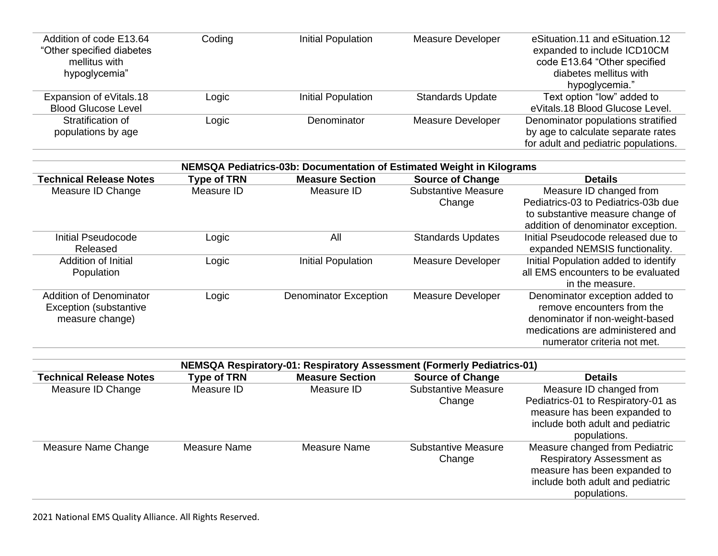| Addition of code E13.64<br>"Other specified diabetes | Coding | Initial Population | <b>Measure Developer</b> | eSituation.11 and eSituation.12<br>expanded to include ICD10CM |
|------------------------------------------------------|--------|--------------------|--------------------------|----------------------------------------------------------------|
| mellitus with                                        |        |                    |                          | code E13.64 "Other specified                                   |
| hypoglycemia"                                        |        |                    |                          | diabetes mellitus with                                         |
|                                                      |        |                    |                          | hypoglycemia."                                                 |
| Expansion of eVitals.18                              | Logic  | Initial Population | <b>Standards Update</b>  | Text option "low" added to                                     |
| <b>Blood Glucose Level</b>                           |        |                    |                          | eVitals.18 Blood Glucose Level.                                |
| Stratification of                                    | Logic  | Denominator        | <b>Measure Developer</b> | Denominator populations stratified                             |
| populations by age                                   |        |                    |                          | by age to calculate separate rates                             |
|                                                      |        |                    |                          | for adult and pediatric populations.                           |

| NEMSQA Pediatrics-03b: Documentation of Estimated Weight in Kilograms |                    |                              |                            |                                      |
|-----------------------------------------------------------------------|--------------------|------------------------------|----------------------------|--------------------------------------|
| <b>Technical Release Notes</b>                                        | <b>Type of TRN</b> | <b>Measure Section</b>       | <b>Source of Change</b>    | <b>Details</b>                       |
| Measure ID Change                                                     | Measure ID         | Measure ID                   | <b>Substantive Measure</b> | Measure ID changed from              |
|                                                                       |                    |                              | Change                     | Pediatrics-03 to Pediatrics-03b due  |
|                                                                       |                    |                              |                            | to substantive measure change of     |
|                                                                       |                    |                              |                            | addition of denominator exception.   |
| Initial Pseudocode                                                    | Logic              | All                          | <b>Standards Updates</b>   | Initial Pseudocode released due to   |
| Released                                                              |                    |                              |                            | expanded NEMSIS functionality.       |
| Addition of Initial                                                   | Logic              | <b>Initial Population</b>    | <b>Measure Developer</b>   | Initial Population added to identify |
| Population                                                            |                    |                              |                            | all EMS encounters to be evaluated   |
|                                                                       |                    |                              |                            | in the measure.                      |
| Addition of Denominator                                               | Logic              | <b>Denominator Exception</b> | Measure Developer          | Denominator exception added to       |
| Exception (substantive                                                |                    |                              |                            | remove encounters from the           |
| measure change)                                                       |                    |                              |                            | denominator if non-weight-based      |
|                                                                       |                    |                              |                            | medications are administered and     |
|                                                                       |                    |                              |                            | numerator criteria not met.          |

| NEMSQA Respiratory-01: Respiratory Assessment (Formerly Pediatrics-01) |                    |                        |                            |                                    |
|------------------------------------------------------------------------|--------------------|------------------------|----------------------------|------------------------------------|
| <b>Technical Release Notes</b>                                         | <b>Type of TRN</b> | <b>Measure Section</b> | <b>Source of Change</b>    | <b>Details</b>                     |
| Measure ID Change                                                      | Measure ID         | Measure ID             | <b>Substantive Measure</b> | Measure ID changed from            |
|                                                                        |                    |                        | Change                     | Pediatrics-01 to Respiratory-01 as |
|                                                                        |                    |                        |                            | measure has been expanded to       |
|                                                                        |                    |                        |                            | include both adult and pediatric   |
|                                                                        |                    |                        |                            | populations.                       |
| Measure Name Change                                                    | Measure Name       | Measure Name           | <b>Substantive Measure</b> | Measure changed from Pediatric     |
|                                                                        |                    |                        | Change                     | <b>Respiratory Assessment as</b>   |
|                                                                        |                    |                        |                            | measure has been expanded to       |
|                                                                        |                    |                        |                            | include both adult and pediatric   |
|                                                                        |                    |                        |                            | populations.                       |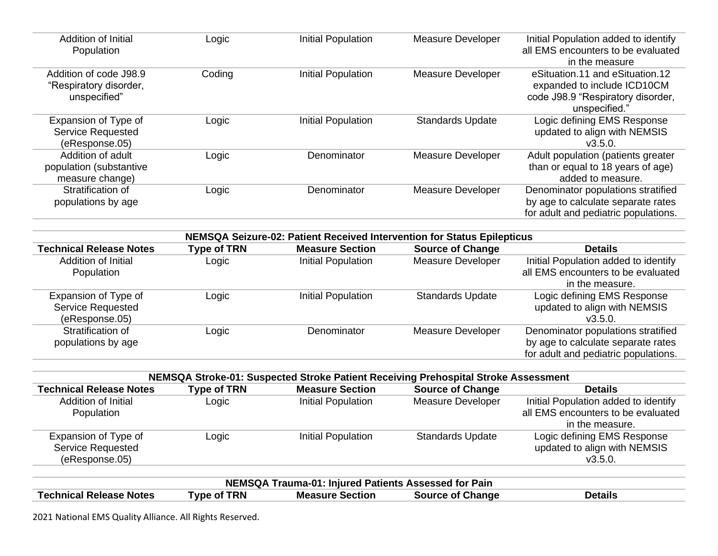| <b>Addition of Initial</b><br>Population                         | Logic              | <b>Initial Population</b>                                                                         | <b>Measure Developer</b> | Initial Population added to identify<br>all EMS encounters to be evaluated<br>in the measure                         |
|------------------------------------------------------------------|--------------------|---------------------------------------------------------------------------------------------------|--------------------------|----------------------------------------------------------------------------------------------------------------------|
| Addition of code J98.9<br>"Respiratory disorder,<br>unspecified" | Coding             | <b>Initial Population</b>                                                                         | <b>Measure Developer</b> | eSituation.11 and eSituation.12<br>expanded to include ICD10CM<br>code J98.9 "Respiratory disorder,<br>unspecified." |
| Expansion of Type of<br>Service Requested<br>(eResponse.05)      | Logic              | <b>Initial Population</b>                                                                         | <b>Standards Update</b>  | Logic defining EMS Response<br>updated to align with NEMSIS<br>V3.5.0.                                               |
| Addition of adult<br>population (substantive<br>measure change)  | Logic              | Denominator                                                                                       | <b>Measure Developer</b> | Adult population (patients greater<br>than or equal to 18 years of age)<br>added to measure.                         |
| Stratification of<br>populations by age                          | Logic              | Denominator                                                                                       | Measure Developer        | Denominator populations stratified<br>by age to calculate separate rates<br>for adult and pediatric populations.     |
|                                                                  |                    |                                                                                                   |                          |                                                                                                                      |
| <b>Technical Release Notes</b>                                   | <b>Type of TRN</b> | NEMSQA Seizure-02: Patient Received Intervention for Status Epilepticus<br><b>Measure Section</b> | <b>Source of Change</b>  | <b>Details</b>                                                                                                       |
| Addition of Initial<br>Population                                | Logic              | Initial Population                                                                                | <b>Measure Developer</b> | Initial Population added to identify<br>all EMS encounters to be evaluated<br>in the measure.                        |
| Expansion of Type of<br>Service Requested<br>(eResponse.05)      | Logic              | <b>Initial Population</b>                                                                         | <b>Standards Update</b>  | Logic defining EMS Response<br>updated to align with NEMSIS<br>V3.5.0.                                               |
| Stratification of<br>populations by age                          | Logic              | Denominator                                                                                       | Measure Developer        | Denominator populations stratified<br>by age to calculate separate rates<br>for adult and pediatric populations.     |

| NEMSQA Stroke-01: Suspected Stroke Patient Receiving Prehospital Stroke Assessment |                    |                        |                          |                                      |
|------------------------------------------------------------------------------------|--------------------|------------------------|--------------------------|--------------------------------------|
| <b>Technical Release Notes</b>                                                     | <b>Type of TRN</b> | <b>Measure Section</b> | <b>Source of Change</b>  | <b>Details</b>                       |
| Addition of Initial                                                                | Logic              | Initial Population     | <b>Measure Developer</b> | Initial Population added to identify |
| Population                                                                         |                    |                        |                          | all EMS encounters to be evaluated   |
|                                                                                    |                    |                        |                          | in the measure.                      |
| Expansion of Type of                                                               | Logic              | Initial Population     | <b>Standards Update</b>  | Logic defining EMS Response          |
| Service Requested                                                                  |                    |                        |                          | updated to align with NEMSIS         |
| (eResponse.05)                                                                     |                    |                        |                          | V3.5.0.                              |
|                                                                                    |                    |                        |                          |                                      |

| NEMSQA Trauma-01: Injured Patients Assessed for Pain |                    |                        |                         |         |
|------------------------------------------------------|--------------------|------------------------|-------------------------|---------|
| <b>Technical Release Notes</b>                       | <b>Type of TRN</b> | <b>Measure Section</b> | <b>Source of Change</b> | Details |

2021 National EMS Quality Alliance. All Rights Reserved.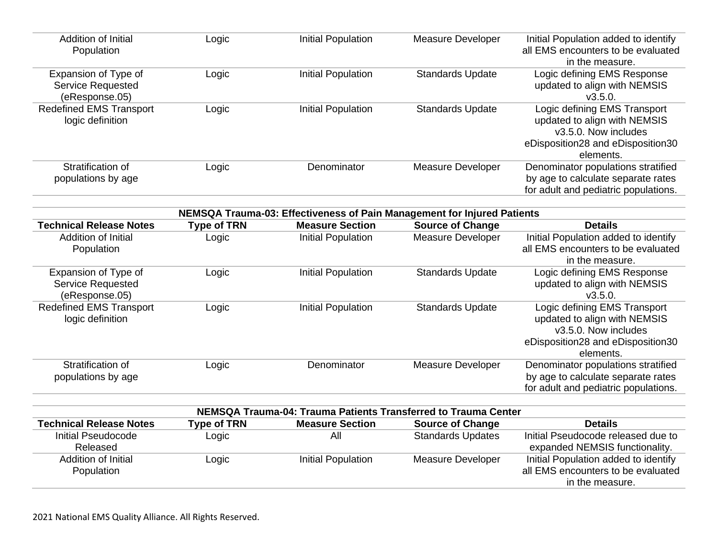| Tachnical Ralassa Notas        | Tyne of TRN        | Maasura Saction                                                         | Source of Change         | Dataile                                                                    |
|--------------------------------|--------------------|-------------------------------------------------------------------------|--------------------------|----------------------------------------------------------------------------|
|                                |                    | NEMSQA Trauma-04: Trauma Patients Transferred to Trauma Center          |                          |                                                                            |
|                                |                    |                                                                         |                          |                                                                            |
|                                |                    |                                                                         |                          | for adult and pediatric populations.                                       |
| populations by age             |                    |                                                                         |                          | by age to calculate separate rates                                         |
| Stratification of              | Logic              | Denominator                                                             | <b>Measure Developer</b> | Denominator populations stratified                                         |
|                                |                    |                                                                         |                          | elements.                                                                  |
|                                |                    |                                                                         |                          | eDisposition28 and eDisposition30                                          |
|                                |                    |                                                                         |                          | v3.5.0. Now includes                                                       |
| logic definition               |                    |                                                                         |                          | updated to align with NEMSIS                                               |
| <b>Redefined EMS Transport</b> | Logic              | <b>Initial Population</b>                                               | <b>Standards Update</b>  | Logic defining EMS Transport                                               |
| (eResponse.05)                 |                    |                                                                         |                          | V3.5.0.                                                                    |
| Service Requested              |                    |                                                                         |                          | updated to align with NEMSIS                                               |
| Expansion of Type of           | Logic              | <b>Initial Population</b>                                               | <b>Standards Update</b>  | Logic defining EMS Response                                                |
|                                |                    |                                                                         |                          | in the measure.                                                            |
| Population                     |                    |                                                                         |                          | all EMS encounters to be evaluated                                         |
| Addition of Initial            | Logic              | <b>Initial Population</b>                                               | <b>Measure Developer</b> | Initial Population added to identify                                       |
| <b>Technical Release Notes</b> | <b>Type of TRN</b> | <b>Measure Section</b>                                                  | <b>Source of Change</b>  | <b>Details</b>                                                             |
|                                |                    | NEMSQA Trauma-03: Effectiveness of Pain Management for Injured Patients |                          |                                                                            |
|                                |                    |                                                                         |                          |                                                                            |
|                                |                    |                                                                         |                          | for adult and pediatric populations.                                       |
| populations by age             |                    |                                                                         |                          | by age to calculate separate rates                                         |
| Stratification of              | Logic              | Denominator                                                             | <b>Measure Developer</b> | Denominator populations stratified                                         |
|                                |                    |                                                                         |                          | elements.                                                                  |
|                                |                    |                                                                         |                          | eDisposition28 and eDisposition30                                          |
|                                |                    |                                                                         |                          | v3.5.0. Now includes                                                       |
| logic definition               |                    |                                                                         |                          | updated to align with NEMSIS                                               |
| <b>Redefined EMS Transport</b> | Logic              | <b>Initial Population</b>                                               | <b>Standards Update</b>  | Logic defining EMS Transport                                               |
| (eResponse.05)                 |                    |                                                                         |                          | V3.5.0.                                                                    |
| <b>Service Requested</b>       |                    |                                                                         |                          | updated to align with NEMSIS                                               |
| Expansion of Type of           | Logic              | <b>Initial Population</b>                                               | <b>Standards Update</b>  | Logic defining EMS Response                                                |
| Population                     |                    |                                                                         |                          | in the measure.                                                            |
|                                | Logic              | Initial Population                                                      | <b>Measure Developer</b> | Initial Population added to identify<br>all EMS encounters to be evaluated |
| <b>Addition of Initial</b>     |                    |                                                                         |                          |                                                                            |

| <b>Technical Release Notes</b> | <b>Type of TRN</b> | <b>Measure Section</b> | <b>Source of Change</b>  | <b>Details</b>                       |
|--------------------------------|--------------------|------------------------|--------------------------|--------------------------------------|
| Initial Pseudocode             | Logic              | All                    | <b>Standards Updates</b> | Initial Pseudocode released due to   |
| Released                       |                    |                        |                          | expanded NEMSIS functionality.       |
| Addition of Initial            | Logic              | Initial Population     | Measure Developer        | Initial Population added to identify |
| Population                     |                    |                        |                          | all EMS encounters to be evaluated   |
|                                |                    |                        |                          | in the measure.                      |